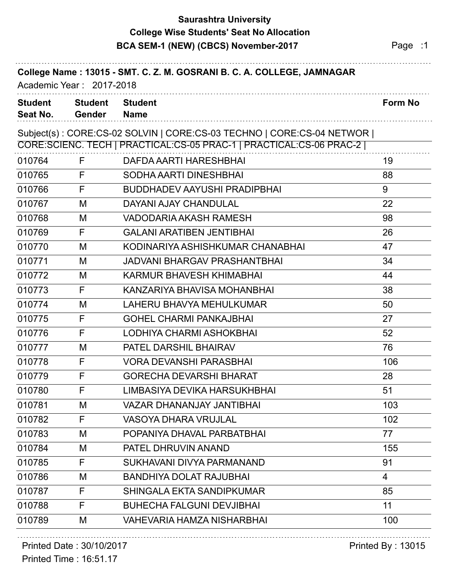## **Saurashtra University BCA SEM-1 (NEW) (CBCS) November-2017** Page :1 **College Wise Students' Seat No Allocation**

|                            | Academic Year: 2017-2018        | College Name: 13015 - SMT. C. Z. M. GOSRANI B. C. A. COLLEGE, JAMNAGAR                                                                         |         |
|----------------------------|---------------------------------|------------------------------------------------------------------------------------------------------------------------------------------------|---------|
| <b>Student</b><br>Seat No. | <b>Student</b><br><b>Gender</b> | <b>Student</b><br><b>Name</b>                                                                                                                  | Form No |
|                            |                                 | Subject(s): CORE:CS-02 SOLVIN   CORE:CS-03 TECHNO   CORE:CS-04 NETWOR  <br>CORE:SCIENC. TECH   PRACTICAL:CS-05 PRAC-1   PRACTICAL:CS-06 PRAC-2 |         |
| 010764                     | F                               | DAFDA AARTI HARESHBHAI                                                                                                                         | 19      |
| 010765                     | F                               | SODHA AARTI DINESHBHAI                                                                                                                         | 88      |
| 010766                     | F                               | <b>BUDDHADEV AAYUSHI PRADIPBHAI</b>                                                                                                            | 9       |
| 010767                     | M                               | <b>DAYANI AJAY CHANDULAL</b>                                                                                                                   | 22      |
| 010768                     | M                               | VADODARIA AKASH RAMESH                                                                                                                         | 98      |
| 010769                     | F                               | <b>GALANI ARATIBEN JENTIBHAI</b>                                                                                                               | 26      |
| 010770                     | M                               | KODINARIYA ASHISHKUMAR CHANABHAI                                                                                                               | 47      |
| 010771                     | M                               | <b>JADVANI BHARGAV PRASHANTBHAI</b>                                                                                                            | 34      |
| 010772                     | M                               | KARMUR BHAVESH KHIMABHAI                                                                                                                       | 44      |
| 010773                     | F                               | KANZARIYA BHAVISA MOHANBHAI                                                                                                                    | 38      |
| 010774                     | M                               | LAHERU BHAVYA MEHULKUMAR                                                                                                                       | 50      |
| 010775                     | F                               | <b>GOHEL CHARMI PANKAJBHAI</b>                                                                                                                 | 27      |
| 010776                     | F                               | LODHIYA CHARMI ASHOKBHAI                                                                                                                       | 52      |
| 010777                     | M                               | PATEL DARSHIL BHAIRAV                                                                                                                          | 76      |
| 010778                     | F                               | <b>VORA DEVANSHI PARASBHAI</b>                                                                                                                 | 106     |
| 010779                     | F                               | <b>GORECHA DEVARSHI BHARAT</b>                                                                                                                 | 28      |
| 010780                     | F                               | LIMBASIYA DEVIKA HARSUKHBHAI                                                                                                                   | 51      |
| 010781                     | M                               | <b>VAZAR DHANANJAY JANTIBHAI</b>                                                                                                               | 103     |
| 010782                     | F                               | <b>VASOYA DHARA VRUJLAL</b>                                                                                                                    | 102     |
| 010783                     | M                               | POPANIYA DHAVAL PARBATBHAI                                                                                                                     | 77      |
| 010784                     | M                               | PATEL DHRUVIN ANAND                                                                                                                            | 155     |
| 010785                     | F                               | SUKHAVANI DIVYA PARMANAND                                                                                                                      | 91      |
| 010786                     | M                               | <b>BANDHIYA DOLAT RAJUBHAI</b>                                                                                                                 | 4       |
| 010787                     | F                               | <b>SHINGALA EKTA SANDIPKUMAR</b>                                                                                                               | 85      |
| 010788                     | F                               | <b>BUHECHA FALGUNI DEVJIBHAI</b>                                                                                                               | 11      |
| 010789                     | M                               | <b>VAHEVARIA HAMZA NISHARBHAI</b>                                                                                                              | 100     |

#### Printed Date : 30/10/2017 **Printed By : 13015**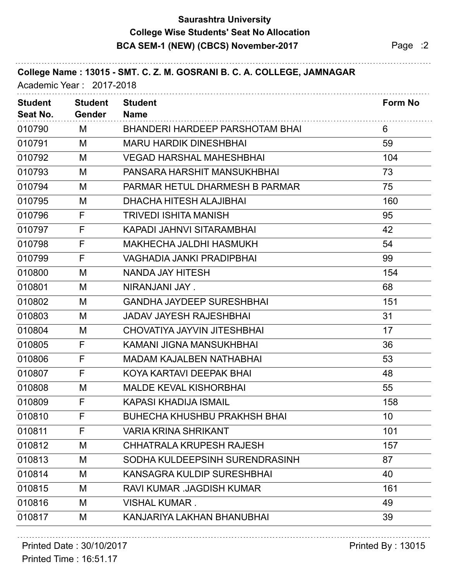## **Saurashtra University BCA SEM-1 (NEW) (CBCS) November-2017** Page :2 **College Wise Students' Seat No Allocation**

| College Name: 13015 - SMT. C. Z. M. GOSRANI B. C. A. COLLEGE, JAMNAGAR<br>Academic Year: 2017-2018 |                                 |                                     |                |  |
|----------------------------------------------------------------------------------------------------|---------------------------------|-------------------------------------|----------------|--|
| <b>Student</b><br>Seat No.                                                                         | <b>Student</b><br><b>Gender</b> | <b>Student</b><br><b>Name</b>       | <b>Form No</b> |  |
| 010790                                                                                             | M                               | BHANDERI HARDEEP PARSHOTAM BHAI     | 6              |  |
| 010791                                                                                             | M                               | <b>MARU HARDIK DINESHBHAI</b>       | 59             |  |
| 010792                                                                                             | M                               | <b>VEGAD HARSHAL MAHESHBHAI</b>     | 104            |  |
| 010793                                                                                             | M                               | PANSARA HARSHIT MANSUKHBHAI         | 73             |  |
| 010794                                                                                             | M                               | PARMAR HETUL DHARMESH B PARMAR      | 75             |  |
| 010795                                                                                             | M                               | <b>DHACHA HITESH ALAJIBHAI</b>      | 160            |  |
| 010796                                                                                             | F                               | <b>TRIVEDI ISHITA MANISH</b>        | 95             |  |
| 010797                                                                                             | F                               | KAPADI JAHNVI SITARAMBHAI           | 42             |  |
| 010798                                                                                             | F                               | <b>MAKHECHA JALDHI HASMUKH</b>      | 54             |  |
| 010799                                                                                             | F                               | VAGHADIA JANKI PRADIPBHAI           | 99             |  |
| 010800                                                                                             | M                               | <b>NANDA JAY HITESH</b>             | 154            |  |
| 010801                                                                                             | M                               | NIRANJANI JAY.                      | 68             |  |
| 010802                                                                                             | M                               | <b>GANDHA JAYDEEP SURESHBHAI</b>    | 151            |  |
| 010803                                                                                             | M                               | <b>JADAV JAYESH RAJESHBHAI</b>      | 31             |  |
| 010804                                                                                             | M                               | CHOVATIYA JAYVIN JITESHBHAI         | 17             |  |
| 010805                                                                                             | F                               | KAMANI JIGNA MANSUKHBHAI            | 36             |  |
| 010806                                                                                             | F                               | <b>MADAM KAJALBEN NATHABHAI</b>     | 53             |  |
| 010807                                                                                             | F                               | KOYA KARTAVI DEEPAK BHAI            | 48             |  |
| 010808                                                                                             | M                               | <b>MALDE KEVAL KISHORBHAI</b>       | 55             |  |
| 010809                                                                                             | F                               | KAPASI KHADIJA ISMAIL               | 158            |  |
| 010810                                                                                             | F                               | <b>BUHECHA KHUSHBU PRAKHSH BHAI</b> | 10             |  |
| 010811                                                                                             | F                               | <b>VARIA KRINA SHRIKANT</b>         | 101            |  |
| 010812                                                                                             | M                               | CHHATRALA KRUPESH RAJESH            | 157            |  |
| 010813                                                                                             | M                               | SODHA KULDEEPSINH SURENDRASINH      | 87             |  |
| 010814                                                                                             | M                               | KANSAGRA KULDIP SURESHBHAI          | 40             |  |
| 010815                                                                                             | M                               | RAVI KUMAR .JAGDISH KUMAR           | 161            |  |
| 010816                                                                                             | M                               | <b>VISHAL KUMAR.</b>                | 49             |  |
| 010817                                                                                             | M                               | KANJARIYA LAKHAN BHANUBHAI          | 39             |  |

# Printed Date : 30/10/2017 **Printed By : 13015**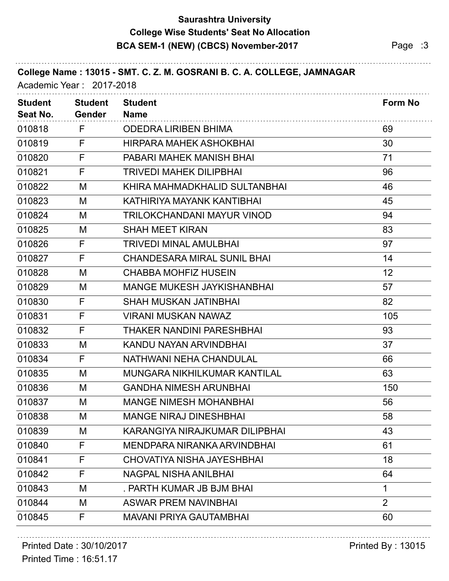## **Saurashtra University BCA SEM-1 (NEW) (CBCS) November-2017** Page :3 **College Wise Students' Seat No Allocation**

| College Name: 13015 - SMT. C. Z. M. GOSRANI B. C. A. COLLEGE, JAMNAGAR<br>Academic Year: 2017-2018 |                |
|----------------------------------------------------------------------------------------------------|----------------|
| <b>Student</b><br><b>Student</b><br><b>Student</b><br>Seat No.<br><b>Gender</b><br><b>Name</b>     | <b>Form No</b> |
| 010818<br>F<br><b>ODEDRA LIRIBEN BHIMA</b>                                                         | 69             |
| F<br>010819<br><b>HIRPARA MAHEK ASHOKBHAI</b>                                                      | 30             |
| F<br>010820<br>PABARI MAHEK MANISH BHAI                                                            | 71             |
| F<br>010821<br><b>TRIVEDI MAHEK DILIPBHAI</b>                                                      | 96             |
| 010822<br>M<br>KHIRA MAHMADKHALID SULTANBHAI                                                       | 46             |
| 010823<br>M<br>KATHIRIYA MAYANK KANTIBHAI                                                          | 45             |
| 010824<br><b>TRILOKCHANDANI MAYUR VINOD</b><br>M                                                   | 94             |
| 010825<br>M<br><b>SHAH MEET KIRAN</b>                                                              | 83             |
| F<br>010826<br><b>TRIVEDI MINAL AMULBHAI</b>                                                       | 97             |
| F<br>010827<br><b>CHANDESARA MIRAL SUNIL BHAI</b>                                                  | 14             |
| 010828<br>M<br><b>CHABBA MOHFIZ HUSEIN</b>                                                         | 12             |
| 010829<br><b>MANGE MUKESH JAYKISHANBHAI</b><br>М                                                   | 57             |
| 010830<br>F<br><b>SHAH MUSKAN JATINBHAI</b>                                                        | 82             |
| 010831<br>F<br><b>VIRANI MUSKAN NAWAZ</b>                                                          | 105            |
| F<br>010832<br>THAKER NANDINI PARESHBHAI                                                           | 93             |
| 010833<br>M<br>KANDU NAYAN ARVINDBHAI                                                              | 37             |
| F<br>010834<br>NATHWANI NEHA CHANDULAL                                                             | 66             |
| 010835<br>MUNGARA NIKHILKUMAR KANTILAL<br>M                                                        | 63             |
| 010836<br><b>GANDHA NIMESH ARUNBHAI</b><br>M                                                       | 150            |
| 010837<br><b>MANGE NIMESH MOHANBHAI</b><br>М                                                       | 56             |
| 010838<br>M<br><b>MANGE NIRAJ DINESHBHAI</b>                                                       | 58             |
| 010839<br>KARANGIYA NIRAJKUMAR DILIPBHAI<br>M                                                      | 43             |
| F<br>010840<br>MENDPARA NIRANKA ARVINDBHAI                                                         | 61             |
| F<br>010841<br><b>CHOVATIYA NISHA JAYESHBHAI</b>                                                   | 18             |
| F<br>010842<br><b>NAGPAL NISHA ANILBHAI</b>                                                        | 64             |
| 010843<br>. PARTH KUMAR JB BJM BHAI<br>М                                                           | 1              |
| 010844<br>M<br><b>ASWAR PREM NAVINBHAI</b>                                                         | $\overline{2}$ |
| 010845<br>F<br><b>MAVANI PRIYA GAUTAMBHAI</b>                                                      | 60             |

# Printed Date : 30/10/2017 **Printed By : 13015**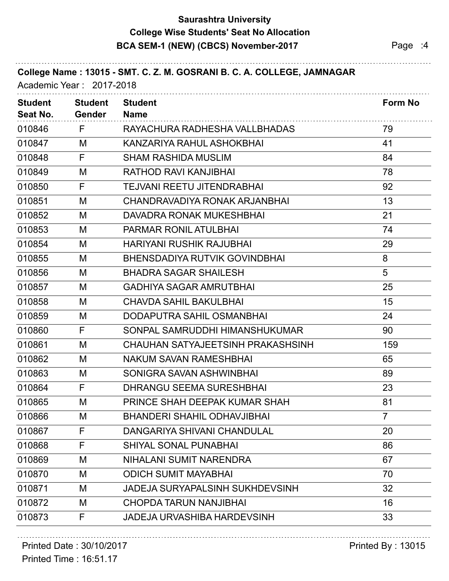## **Saurashtra University BCA SEM-1 (NEW) (CBCS) November-2017** Page :4 **College Wise Students' Seat No Allocation**

|                            | Academic Year: 2017-2018        | College Name: 13015 - SMT. C. Z. M. GOSRANI B. C. A. COLLEGE, JAMNAGAR |                |
|----------------------------|---------------------------------|------------------------------------------------------------------------|----------------|
| <b>Student</b><br>Seat No. | <b>Student</b><br><b>Gender</b> | <b>Student</b><br><b>Name</b>                                          | Form No        |
| 010846                     | F                               | RAYACHURA RADHESHA VALLBHADAS                                          | 79             |
| 010847                     | М                               | KANZARIYA RAHUL ASHOKBHAI                                              | 41             |
| 010848                     | F                               | <b>SHAM RASHIDA MUSLIM</b>                                             | 84             |
| 010849                     | M                               | RATHOD RAVI KANJIBHAI                                                  | 78             |
| 010850                     | F                               | <b>TEJVANI REETU JITENDRABHAI</b>                                      | 92             |
| 010851                     | M                               | CHANDRAVADIYA RONAK ARJANBHAI                                          | 13             |
| 010852                     | M                               | <b>DAVADRA RONAK MUKESHBHAI</b>                                        | 21             |
| 010853                     | M                               | <b>PARMAR RONIL ATULBHAI</b>                                           | 74             |
| 010854                     | М                               | <b>HARIYANI RUSHIK RAJUBHAI</b>                                        | 29             |
| 010855                     | M                               | <b>BHENSDADIYA RUTVIK GOVINDBHAI</b>                                   | 8              |
| 010856                     | M                               | <b>BHADRA SAGAR SHAILESH</b>                                           | 5              |
| 010857                     | M                               | <b>GADHIYA SAGAR AMRUTBHAI</b>                                         | 25             |
| 010858                     | M                               | <b>CHAVDA SAHIL BAKULBHAI</b>                                          | 15             |
| 010859                     | M                               | DODAPUTRA SAHIL OSMANBHAI                                              | 24             |
| 010860                     | F                               | SONPAL SAMRUDDHI HIMANSHUKUMAR                                         | 90             |
| 010861                     | M                               | CHAUHAN SATYAJEETSINH PRAKASHSINH                                      | 159            |
| 010862                     | M                               | <b>NAKUM SAVAN RAMESHBHAI</b>                                          | 65             |
| 010863                     | M                               | SONIGRA SAVAN ASHWINBHAI                                               | 89             |
| 010864                     | F                               | <b>DHRANGU SEEMA SURESHBHAI</b>                                        | 23             |
| 010865                     | M                               | PRINCE SHAH DEEPAK KUMAR SHAH                                          | 81             |
| 010866                     | M                               | <b>BHANDERI SHAHIL ODHAVJIBHAI</b>                                     | $\overline{7}$ |
| 010867                     | F                               | DANGARIYA SHIVANI CHANDULAL                                            | 20             |
| 010868                     | F                               | <b>SHIYAL SONAL PUNABHAI</b>                                           | 86             |
| 010869                     | M                               | NIHALANI SUMIT NARENDRA                                                | 67             |
| 010870                     | M                               | <b>ODICH SUMIT MAYABHAI</b>                                            | 70             |
| 010871                     | M                               | JADEJA SURYAPALSINH SUKHDEVSINH                                        | 32             |
| 010872                     | M                               | <b>CHOPDA TARUN NANJIBHAI</b>                                          | 16             |
| 010873                     | F                               | JADEJA URVASHIBA HARDEVSINH                                            | 33             |

## Printed Date : 30/10/2017 **Printed By : 13015**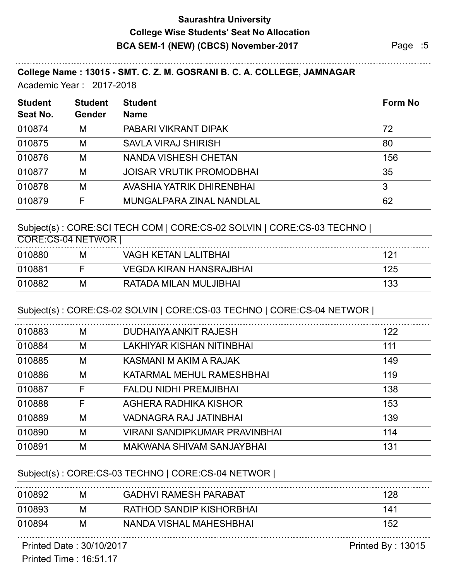## **Saurashtra University BCA SEM-1 (NEW) (CBCS) November-2017** Page :5 **College Wise Students' Seat No Allocation**

#### **College Name : 13015 - SMT. C. Z. M. GOSRANI B. C. A. COLLEGE, JAMNAGAR**

Academic Year : 2017-2018

|               |                                 | Form No        |
|---------------|---------------------------------|----------------|
| <b>Gender</b> | <b>Name</b>                     |                |
| M             | PABARI VIKRANT DIPAK            | 72             |
| M             | <b>SAVLA VIRAJ SHIRISH</b>      | 80             |
| M             | <b>NANDA VISHESH CHETAN</b>     | 156            |
| M             | <b>JOISAR VRUTIK PROMODBHAI</b> | 35             |
| M             | AVASHIA YATRIK DHIRENBHAI       | 3              |
|               | MUNGALPARA ZINAL NANDLAL        | 62             |
|               | <b>Student</b>                  | <b>Student</b> |

#### Subject(s) : CORE:SCI TECH COM | CORE:CS-02 SOLVIN | CORE:CS-03 TECHNO |

| М | <b>VAGH KETAN LALITBHAI</b> | 121               |
|---|-----------------------------|-------------------|
|   | VEGDA KIRAN HANSRAJBHAI     | 125               |
| М | RATADA MILAN MULJIBHAI      | 133               |
|   |                             | CORE:CS-04 NETWOR |

#### Subject(s) : CORE:CS-02 SOLVIN | CORE:CS-03 TECHNO | CORE:CS-04 NETWOR |

| 010883 | M | DUDHAIYA ANKIT RAJESH         | 122 |
|--------|---|-------------------------------|-----|
| 010884 | M | LAKHIYAR KISHAN NITINBHAI     | 111 |
| 010885 | M | KASMANI M AKIM A RAJAK        | 149 |
| 010886 | M | KATARMAL MEHUL RAMESHBHAI     | 119 |
| 010887 | F | <b>FALDU NIDHI PREMJIBHAI</b> | 138 |
| 010888 | F | AGHERA RADHIKA KISHOR         | 153 |
| 010889 | M | VADNAGRA RAJ JATINBHAI        | 139 |
| 010890 | M | VIRANI SANDIPKUMAR PRAVINBHAI | 114 |
| 010891 | M | MAKWANA SHIVAM SANJAYBHAI     | 131 |
|        |   |                               |     |

#### Subject(s) : CORE:CS-03 TECHNO | CORE:CS-04 NETWOR |

| 010892 | M | <b>GADHVI RAMESH PARABAT</b> | 128 |
|--------|---|------------------------------|-----|
| 010893 | M | RATHOD SANDIP KISHORBHAI     | 141 |
| 010894 | M | NANDA VISHAL MAHESHBHAI      | 152 |
|        |   |                              |     |

Printed Date : 30/10/2017 **Printed By : 13015**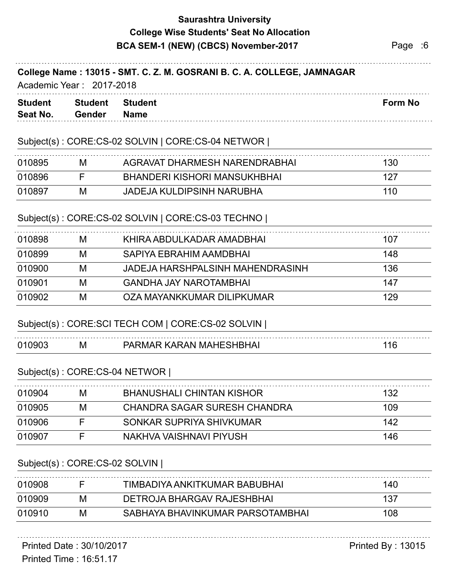## **Saurashtra University BCA SEM-1 (NEW) (CBCS) November-2017** Page :6 **College Wise Students' Seat No Allocation**

#### **College Name : 13015 - SMT. C. Z. M. GOSRANI B. C. A. COLLEGE, JAMNAGAR**

Academic Year : 2017-2018

| <b>Student</b> | <b>Student</b> | <b>Student</b> |  |  | <b>Form No</b> |  |
|----------------|----------------|----------------|--|--|----------------|--|
| Seat No.       | Gender         | <b>Name</b>    |  |  |                |  |
|                |                |                |  |  |                |  |

#### Subject(s) : CORE:CS-02 SOLVIN | CORE:CS-04 NETWOR |

| 010895 | M | AGRAVAT DHARMESH NARENDRABHAI       | 130 |
|--------|---|-------------------------------------|-----|
| 010896 |   | <b>BHANDERI KISHORI MANSUKHBHAI</b> |     |
| 010897 | M | <b>JADEJA KULDIPSINH NARUBHA</b>    | 110 |

#### Subject(s) : CORE:CS-02 SOLVIN | CORE:CS-03 TECHNO |

| 010898 | M | KHIRA ABDULKADAR AMADBHAI        | 107 |
|--------|---|----------------------------------|-----|
| 010899 | М | SAPIYA EBRAHIM AAMDBHAI          | 148 |
| 010900 | M | JADEJA HARSHPALSINH MAHENDRASINH | 136 |
| 010901 | M | <b>GANDHA JAY NAROTAMBHAI</b>    | 147 |
| 010902 | M | OZA MAYANKKUMAR DILIPKUMAR       | 129 |
|        |   |                                  |     |

#### Subject(s) : CORE:SCI TECH COM | CORE:CS-02 SOLVIN |

| ΙM | MAI<br>∍^ | '∪ |
|----|-----------|----|

#### Subject(s) : CORE:CS-04 NETWOR |

| M | <b>BHANUSHALI CHINTAN KISHOR</b> | 132 |
|---|----------------------------------|-----|
| M | CHANDRA SAGAR SURESH CHANDRA     | 109 |
|   | SONKAR SUPRIYA SHIVKUMAR         | 142 |
|   | NAKHVA VAISHNAVI PIYUSH          | 146 |
|   |                                  |     |

#### Subject(s) : CORE:CS-02 SOLVIN |

| 010908 |   | TIMBADIYA ANKITKUMAR BABUBHAI     | 140 |
|--------|---|-----------------------------------|-----|
| 010909 | M | <b>DETROJA BHARGAV RAJESHBHAI</b> |     |
| 010910 | M | SABHAYA BHAVINKUMAR PARSOTAMBHAI  | 108 |